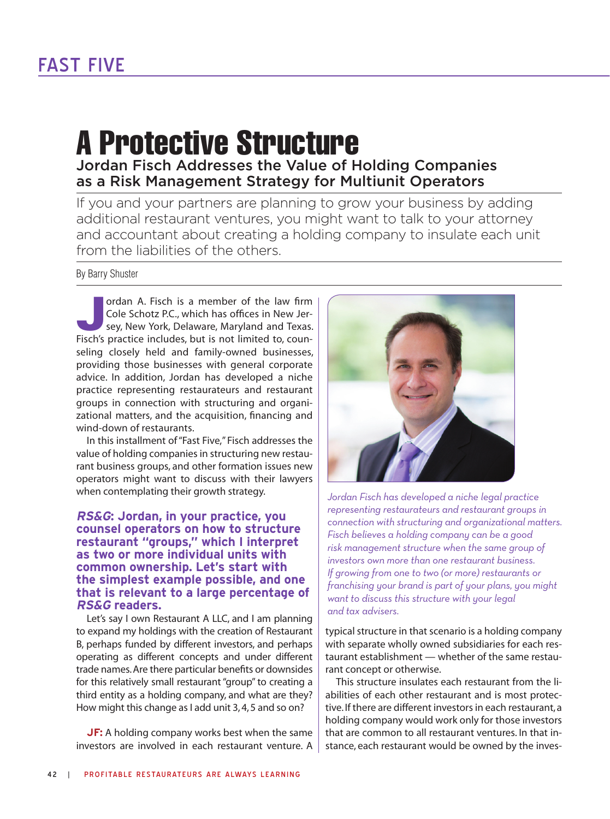## A Protective Structure Jordan Fisch Addresses the Value of Holding Companies as a Risk Management Strategy for Multiunit Operators

If you and your partners are planning to grow your business by adding additional restaurant ventures, you might want to talk to your attorney and accountant about creating a holding company to insulate each unit from the liabilities of the others.

By Barry Shuster

**Jordan A. Fisch is a member of the law firm Cole Schotz P.C., which has offices in New Jersey, New York, Delaware, Maryland and Texas.** Cole Schotz P.C., which has offices in New Jer-Fisch's practice includes, but is not limited to, counseling closely held and family-owned businesses, providing those businesses with general corporate advice. In addition, Jordan has developed a niche practice representing restaurateurs and restaurant groups in connection with structuring and organizational matters, and the acquisition, financing and wind-down of restaurants.

In this installment of "Fast Five," Fisch addresses the value of holding companies in structuring new restaurant business groups, and other formation issues new operators might want to discuss with their lawyers when contemplating their growth strategy.

## **RS&G: Jordan, in your practice, you counsel operators on how to structure restaurant "groups," which I interpret as two or more individual units with common ownership. Let's start with the simplest example possible, and one that is relevant to a large percentage of RS&G readers.**

Let's say I own Restaurant A LLC, and I am planning to expand my holdings with the creation of Restaurant B, perhaps funded by different investors, and perhaps operating as different concepts and under different trade names.Are there particular benefits or downsides for this relatively small restaurant "group" to creating a third entity as a holding company, and what are they? How might this change as I add unit 3, 4, 5 and so on?

**JF:** A holding company works best when the same investors are involved in each restaurant venture. A



*Jordan Fisch has developed a niche legal practice representing restaurateurs and restaurant groups in connection with structuring and organizational matters. Fisch believes a holding company can be a good risk management structure when the same group of investors own more than one restaurant business. If growing from one to two (or more) restaurants or franchising your brand is part of your plans, you might want to discuss this structure with your legal and tax advisers.*

typical structure in that scenario is a holding company with separate wholly owned subsidiaries for each restaurant establishment — whether of the same restaurant concept or otherwise.

This structure insulates each restaurant from the liabilities of each other restaurant and is most protective.If there are different investors in each restaurant, a holding company would work only for those investors that are common to all restaurant ventures. In that instance, each restaurant would be owned by the inves